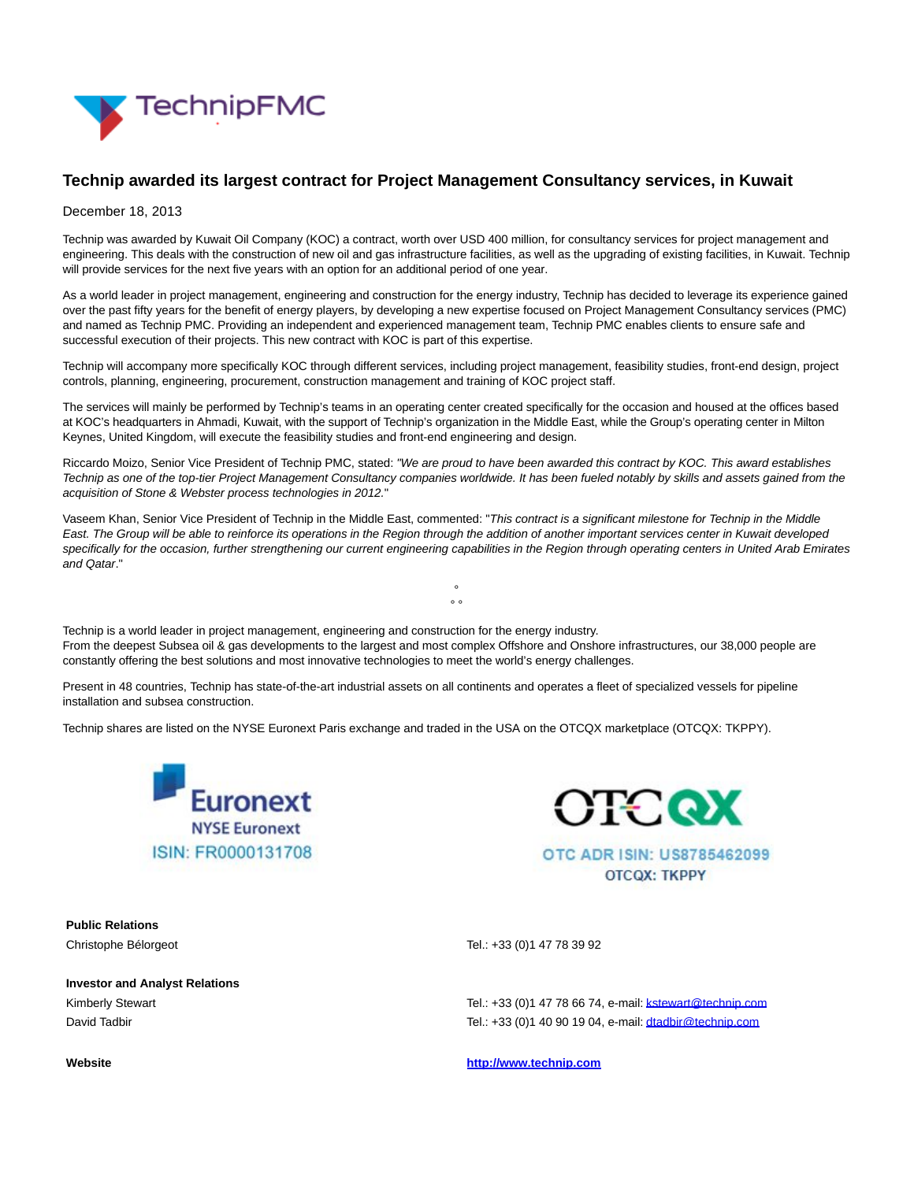

## **Technip awarded its largest contract for Project Management Consultancy services, in Kuwait**

## December 18, 2013

Technip was awarded by Kuwait Oil Company (KOC) a contract, worth over USD 400 million, for consultancy services for project management and engineering. This deals with the construction of new oil and gas infrastructure facilities, as well as the upgrading of existing facilities, in Kuwait. Technip will provide services for the next five years with an option for an additional period of one year.

As a world leader in project management, engineering and construction for the energy industry, Technip has decided to leverage its experience gained over the past fifty years for the benefit of energy players, by developing a new expertise focused on Project Management Consultancy services (PMC) and named as Technip PMC. Providing an independent and experienced management team, Technip PMC enables clients to ensure safe and successful execution of their projects. This new contract with KOC is part of this expertise.

Technip will accompany more specifically KOC through different services, including project management, feasibility studies, front-end design, project controls, planning, engineering, procurement, construction management and training of KOC project staff.

The services will mainly be performed by Technip's teams in an operating center created specifically for the occasion and housed at the offices based at KOC's headquarters in Ahmadi, Kuwait, with the support of Technip's organization in the Middle East, while the Group's operating center in Milton Keynes, United Kingdom, will execute the feasibility studies and front-end engineering and design.

Riccardo Moizo, Senior Vice President of Technip PMC, stated: "We are proud to have been awarded this contract by KOC. This award establishes Technip as one of the top-tier Project Management Consultancy companies worldwide. It has been fueled notably by skills and assets gained from the acquisition of Stone & Webster process technologies in 2012."

Vaseem Khan, Senior Vice President of Technip in the Middle East, commented: "This contract is a significant milestone for Technip in the Middle East. The Group will be able to reinforce its operations in the Region through the addition of another important services center in Kuwait developed specifically for the occasion, further strengthening our current engineering capabilities in the Region through operating centers in United Arab Emirates and Qatar."

> °  $\circ$

Technip is a world leader in project management, engineering and construction for the energy industry. From the deepest Subsea oil & gas developments to the largest and most complex Offshore and Onshore infrastructures, our 38,000 people are constantly offering the best solutions and most innovative technologies to meet the world's energy challenges.

Present in 48 countries, Technip has state-of-the-art industrial assets on all continents and operates a fleet of specialized vessels for pipeline installation and subsea construction.

Technip shares are listed on the NYSE Euronext Paris exchange and traded in the USA on the OTCQX marketplace (OTCQX: TKPPY).





**Public Relations**

**Investor and Analyst Relations**

Christophe Bélorgeot Tel.: +33 (0)1 47 78 39 92

Kimberly Stewart Tel.: +33 (0) 147 78 66 74, e-mail[: kstewart@technip.com](mailto:kstewart@technip.com) David Tadbir Tel.: +33 (0)1 40 90 19 04, e-mail[: dtadbir@technip.com](mailto:dtadbir@technip.com)

**Website [http://www.technip.com](http://www.technip.com/)**